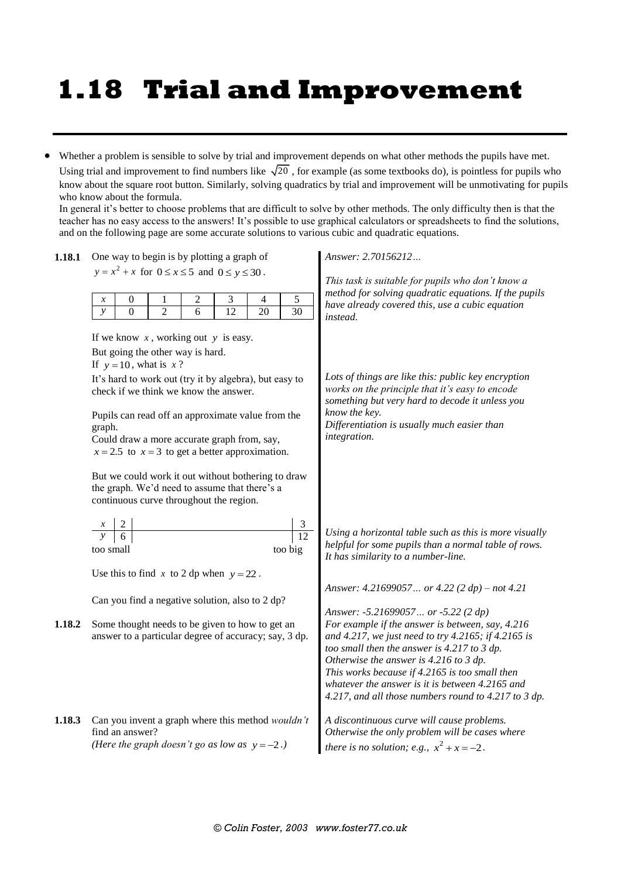## **1.18 Trial and Improvement**

 Whether a problem is sensible to solve by trial and improvement depends on what other methods the pupils have met. Using trial and improvement to find numbers like  $\sqrt{20}$ , for example (as some textbooks do), is pointless for pupils who know about the square root button. Similarly, solving quadratics by trial and improvement will be unmotivating for pupils who know about the formula.

In general it's better to choose problems that are difficult to solve by other methods. The only difficulty then is that the teacher has no easy access to the answers! It's possible to use graphical calculators or spreadsheets to find the solutions, and on the following page are some accurate solutions to various cubic and quadratic equations.

| 1.18.1 | One way to begin is by plotting a graph of                                                                                                                        | Answer: 2.70156212                                                                                                                                                                                                                                                                                                                                            |  |
|--------|-------------------------------------------------------------------------------------------------------------------------------------------------------------------|---------------------------------------------------------------------------------------------------------------------------------------------------------------------------------------------------------------------------------------------------------------------------------------------------------------------------------------------------------------|--|
|        | $y = x^2 + x$ for $0 \le x \le 5$ and $0 \le y \le 30$ .                                                                                                          | This task is suitable for pupils who don't know a<br>method for solving quadratic equations. If the pupils                                                                                                                                                                                                                                                    |  |
|        | $\sqrt{5}$<br>2<br>3<br>4<br>$\boldsymbol{0}$<br>1<br>$\boldsymbol{x}$<br>$\mathcal{Y}$<br>$\overline{0}$<br>$\overline{2}$<br>12<br>20<br>30<br>6                | have already covered this, use a cubic equation<br><i>instead.</i>                                                                                                                                                                                                                                                                                            |  |
|        | If we know $x$ , working out $y$ is easy.<br>But going the other way is hard.                                                                                     |                                                                                                                                                                                                                                                                                                                                                               |  |
|        | If $y = 10$ , what is x?<br>It's hard to work out (try it by algebra), but easy to<br>check if we think we know the answer.                                       | Lots of things are like this: public key encryption<br>works on the principle that it's easy to encode<br>something but very hard to decode it unless you<br>know the key.<br>Differentiation is usually much easier than<br>integration.                                                                                                                     |  |
|        | Pupils can read off an approximate value from the<br>graph.<br>Could draw a more accurate graph from, say,<br>$x = 2.5$ to $x = 3$ to get a better approximation. |                                                                                                                                                                                                                                                                                                                                                               |  |
|        | But we could work it out without bothering to draw<br>the graph. We'd need to assume that there's a<br>continuous curve throughout the region.                    |                                                                                                                                                                                                                                                                                                                                                               |  |
|        | $\frac{3}{12}$<br>too big<br>too small                                                                                                                            | Using a horizontal table such as this is more visually<br>helpful for some pupils than a normal table of rows.<br>It has similarity to a number-line.                                                                                                                                                                                                         |  |
|        | Use this to find x to 2 dp when $y = 22$ .                                                                                                                        |                                                                                                                                                                                                                                                                                                                                                               |  |
|        | Can you find a negative solution, also to 2 dp?                                                                                                                   | Answer: 4.21699057 or 4.22 (2 dp) – not 4.21<br>Answer: -5.21699057 or -5.22 (2 dp)                                                                                                                                                                                                                                                                           |  |
| 1.18.2 | Some thought needs to be given to how to get an<br>answer to a particular degree of accuracy; say, 3 dp.                                                          | For example if the answer is between, say, 4.216<br>and 4.217, we just need to try 4.2165; if 4.2165 is<br>too small then the answer is 4.217 to 3 dp.<br>Otherwise the answer is 4.216 to 3 dp.<br>This works because if 4.2165 is too small then<br>whatever the answer is it is between 4.2165 and<br>4.217, and all those numbers round to 4.217 to 3 dp. |  |
| 1.18.3 | Can you invent a graph where this method wouldn't<br>find an answer?<br>(Here the graph doesn't go as low as $y = -2$ .)                                          | A discontinuous curve will cause problems.<br>Otherwise the only problem will be cases where<br>there is no solution; e.g., $x^2 + x = -2$ .                                                                                                                                                                                                                  |  |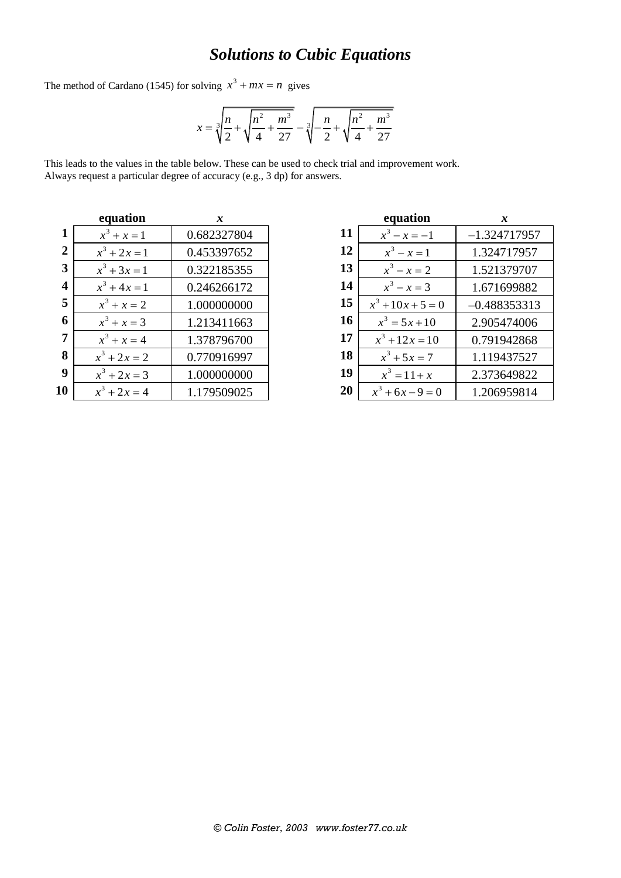## *Solutions to Cubic Equations*

The method of Cardano (1545) for solving  $x^3 + mx = n$  gives

$$
x = \sqrt[3]{\frac{n}{2} + \sqrt{\frac{n^2}{4} + \frac{m^3}{27}}} - \sqrt[3]{-\frac{n}{2} + \sqrt{\frac{n^2}{4} + \frac{m^3}{27}}}
$$

This leads to the values in the table below. These can be used to check trial and improvement work. Always request a particular degree of accuracy (e.g., 3 dp) for answers.

| equation |                | x           |  |  |
|----------|----------------|-------------|--|--|
| 1        | $x^3 + x = 1$  | 0.682327804 |  |  |
| 2        | $x^3 + 2x = 1$ | 0.453397652 |  |  |
| 3        | $x^3 + 3x = 1$ | 0.322185355 |  |  |
| 4        | $x^3 + 4x = 1$ | 0.246266172 |  |  |
| 5        | $x^3 + x = 2$  | 1.000000000 |  |  |
| 6        | $x^3 + x = 3$  | 1.213411663 |  |  |
| 7        | $x^3 + x = 4$  | 1.378796700 |  |  |
| 8        | $x^3 + 2x = 2$ | 0.770916997 |  |  |
| 9        | $x^3 + 2x = 3$ | 1.000000000 |  |  |
| 10       | $x^3 + 2x = 4$ | 1.179509025 |  |  |

| equation |                     | x              |  |
|----------|---------------------|----------------|--|
| 11       | $x^3 - x = -1$      | $-1.324717957$ |  |
| 12       | $x^3 - x = 1$       | 1.324717957    |  |
| 13       | $x^3 - x = 2$       | 1.521379707    |  |
| 14       | $x^3 - x = 3$       | 1.671699882    |  |
| 15       | $x^3 + 10x + 5 = 0$ | $-0.488353313$ |  |
| 16       | $x^3 = 5x + 10$     | 2.905474006    |  |
| 17       | $x^3 + 12x = 10$    | 0.791942868    |  |
| 18       | $x^3 + 5x = 7$      | 1.119437527    |  |
| 19       | $x^3 = 11 + x$      | 2.373649822    |  |
| 20       | $x^3 + 6x - 9 = 0$  | 1.206959814    |  |